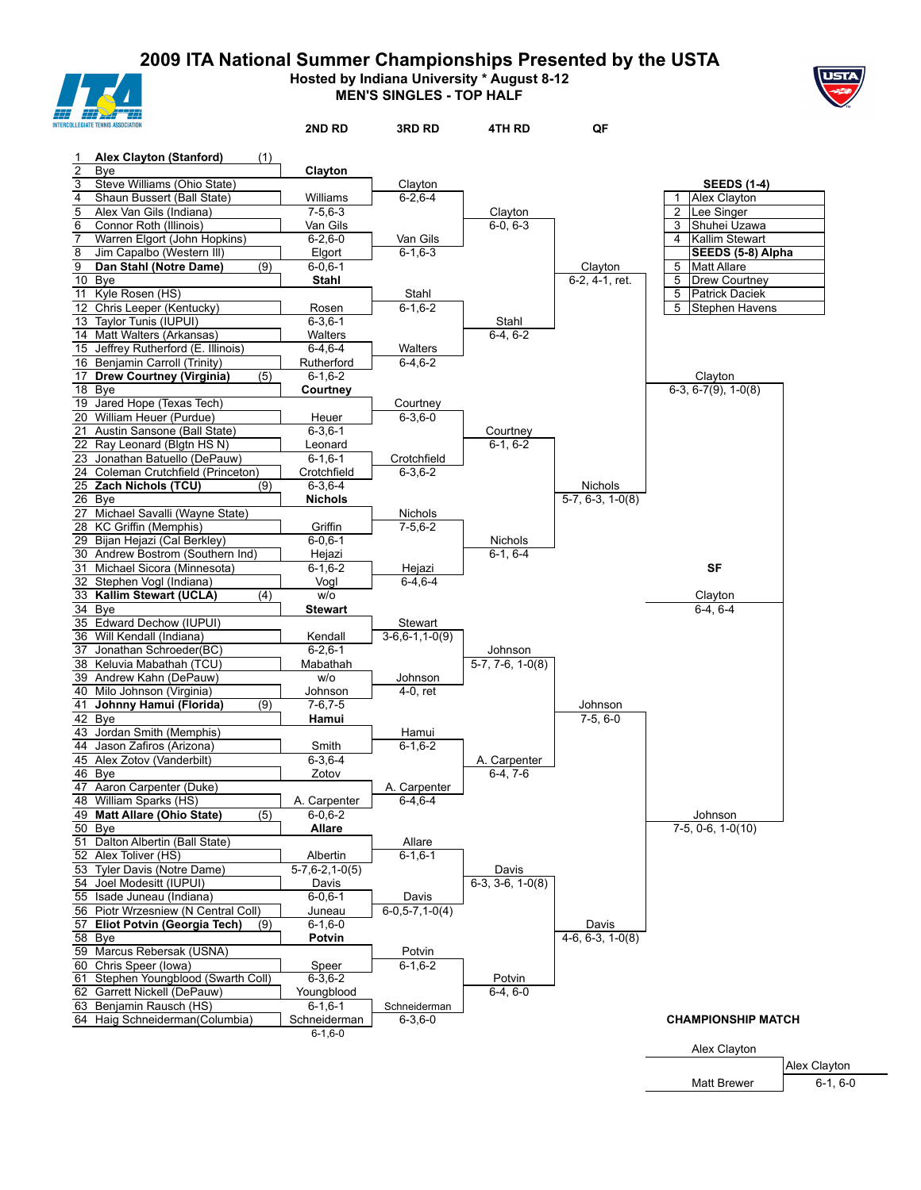**2009 ITA National Summer Championships Presented by the USTA Hosted by Indiana University \* August 8-12**



**MEN'S SINGLES - TOP HALF**



| LLEGIATE TENNIS ASSOCIATIO                                    |     | 2ND RD                    | 3RD RD                   | 4TH RD                    | QF                            |                                                      |
|---------------------------------------------------------------|-----|---------------------------|--------------------------|---------------------------|-------------------------------|------------------------------------------------------|
| 1 Alex Clayton (Stanford)                                     | (1) |                           |                          |                           |                               |                                                      |
| $\overline{2}$<br>Bye                                         |     | Clayton                   |                          |                           |                               |                                                      |
| 3<br>Steve Williams (Ohio State)                              |     |                           | Clayton                  |                           |                               | <b>SEEDS (1-4)</b>                                   |
| 4<br>Shaun Bussert (Ball State)                               |     | Williams                  | $6 - 2.6 - 4$            |                           |                               | Alex Clayton                                         |
| 5<br>Alex Van Gils (Indiana)                                  |     | $7-5,6-3$                 |                          | Clayton                   |                               | 2<br>Lee Singer                                      |
| 6<br>Connor Roth (Illinois)                                   |     | Van Gils                  |                          | $6-0.6-3$                 |                               | 3<br>Shuhei Uzawa                                    |
| $\overline{7}$<br>Warren Elgort (John Hopkins)                |     | $6 - 2, 6 - 0$            | Van Gils                 |                           |                               | Kallim Stewart<br>4                                  |
| 8<br>Jim Capalbo (Western III)                                |     | Elgort                    | $6 - 1, 6 - 3$           |                           |                               | SEEDS (5-8) Alpha                                    |
| 9<br>Dan Stahl (Notre Dame)<br>10 Bye                         | (9) | $6 - 0.6 - 1$             |                          |                           | Clayton<br>6-2, 4-1, ret.     | <b>Matt Allare</b><br>5<br><b>Drew Courtney</b><br>5 |
| 11 Kyle Rosen (HS)                                            |     | Stahl                     | Stahl                    |                           |                               | <b>Patrick Daciek</b><br>5                           |
| 12 Chris Leeper (Kentucky)                                    |     | Rosen                     | $6 - 1, 6 - 2$           |                           |                               | 5<br>Stephen Havens                                  |
| 13 Taylor Tunis (IUPUI)                                       |     | $6 - 3, 6 - 1$            |                          | Stahl                     |                               |                                                      |
| 14 Matt Walters (Arkansas)                                    |     | Walters                   |                          | $6-4, 6-2$                |                               |                                                      |
| 15 Jeffrey Rutherford (E. Illinois)                           |     | $6-4, 6-4$                | Walters                  |                           |                               |                                                      |
| 16 Benjamin Carroll (Trinity)                                 |     | Rutherford                | $6-4, 6-2$               |                           |                               |                                                      |
| 17 Drew Courtney (Virginia)                                   | (5) | $6 - 1, 6 - 2$            |                          |                           |                               | Clayton                                              |
| 18 Bye                                                        |     | Courtney                  |                          |                           |                               | $6-3, 6-7(9), 1-0(8)$                                |
| 19 Jared Hope (Texas Tech)                                    |     |                           | Courtney                 |                           |                               |                                                      |
| 20 William Heuer (Purdue)                                     |     | Heuer                     | $6 - 3, 6 - 0$           |                           |                               |                                                      |
| 21 Austin Sansone (Ball State)<br>22 Ray Leonard (Blgtn HS N) |     | $6 - 3, 6 - 1$            |                          | Courtney                  |                               |                                                      |
| 23 Jonathan Batuello (DePauw)                                 |     | Leonard<br>$6 - 1, 6 - 1$ | Crotchfield              | $6-1, 6-2$                |                               |                                                      |
| 24 Coleman Crutchfield (Princeton)                            |     | Crotchfield               | $6 - 3, 6 - 2$           |                           |                               |                                                      |
| 25 Zach Nichols (TCU)                                         | (9) | $6 - 3, 6 - 4$            |                          |                           | <b>Nichols</b>                |                                                      |
| 26 Bye                                                        |     | <b>Nichols</b>            |                          |                           | $\overline{5-7, 6-3, 1-0(8)}$ |                                                      |
| 27 Michael Savalli (Wayne State)                              |     |                           | Nichols                  |                           |                               |                                                      |
| 28 KC Griffin (Memphis)                                       |     | Griffin                   | $7 - 5, 6 - 2$           |                           |                               |                                                      |
| 29 Bijan Hejazi (Cal Berkley)                                 |     | $6 - 0, 6 - 1$            |                          | Nichols                   |                               |                                                      |
| 30 Andrew Bostrom (Southern Ind)                              |     | Hejazi                    |                          | $6-1.6-4$                 |                               |                                                      |
| 31 Michael Sicora (Minnesota)                                 |     | $6 - 1, 6 - 2$            | Hejazi                   |                           |                               | <b>SF</b>                                            |
| 32 Stephen Vogl (Indiana)                                     |     | Vogl                      | $6-4, 6-4$               |                           |                               |                                                      |
| 33 Kallim Stewart (UCLA)                                      | (4) | w/o                       |                          |                           |                               | Clayton                                              |
| 34 Bye<br>35 Edward Dechow (IUPUI)                            |     | <b>Stewart</b>            | Stewart                  |                           |                               | $6-4, 6-4$                                           |
| 36 Will Kendall (Indiana)                                     |     | Kendall                   | $3-6, 6-1, 1-0(9)$       |                           |                               |                                                      |
| 37 Jonathan Schroeder(BC)                                     |     | $6 - 2.6 - 1$             |                          | Johnson                   |                               |                                                      |
| 38 Keluvia Mabathah (TCU)                                     |     | Mabathah                  |                          | $5-7, 7-6, 1-0(8)$        |                               |                                                      |
| 39 Andrew Kahn (DePauw)                                       |     | w/o                       | Johnson                  |                           |                               |                                                      |
| 40 Milo Johnson (Virginia)                                    |     | Johnson                   | 4-0, ret                 |                           |                               |                                                      |
| 41 Johnny Hamui (Florida)                                     | (9) | $7-6, 7-5$                |                          |                           | Johnson                       |                                                      |
| 42 Bye                                                        |     | Hamui                     |                          |                           | $7-5, 6-0$                    |                                                      |
| 43 Jordan Smith (Memphis)                                     |     |                           | Hamui                    |                           |                               |                                                      |
| 44 Jason Zafiros (Arizona)                                    |     | Smith                     | $6 - 1, 6 - 2$           |                           |                               |                                                      |
| 45 Alex Zotov (Vanderbilt)<br>46 Bye                          |     | $6 - 3, 6 - 4$            |                          | A. Carpenter<br>$6-4.7-6$ |                               |                                                      |
| 47 Aaron Carpenter (Duke)                                     |     | Zotov                     | A. Carpenter             |                           |                               |                                                      |
| 48 William Sparks (HS)                                        |     | A. Carpenter              | $6-4,6-4$                |                           |                               |                                                      |
| 49 Matt Allare (Ohio State)                                   | (5) | $6 - 0.6 - 2$             |                          |                           |                               | Johnson                                              |
| 50 Bye                                                        |     | <b>Allare</b>             |                          |                           |                               | $7-5, 0-6, 1-0(10)$                                  |
| 51 Dalton Albertin (Ball State)                               |     |                           | Allare                   |                           |                               |                                                      |
| 52 Alex Toliver (HS)                                          |     | Albertin                  | $6 - 1, 6 - 1$           |                           |                               |                                                      |
| 53 Tyler Davis (Notre Dame)                                   |     | 5-7,6-2,1-0(5)            |                          | Davis                     |                               |                                                      |
| 54 Joel Modesitt (IUPUI)                                      |     | Davis                     |                          | $6-3, 3-6, 1-0(8)$        |                               |                                                      |
| 55 Isade Juneau (Indiana)                                     |     | $6 - 0.6 - 1$             | Davis                    |                           |                               |                                                      |
| 56 Piotr Wrzesniew (N Central Coll)                           |     | Juneau                    | $6-0, 5-7, 1-0(4)$       |                           |                               |                                                      |
| 57 Eliot Potvin (Georgia Tech)                                | (9) | $6 - 1, 6 - 0$            |                          |                           | Davis                         |                                                      |
| 58 Bye                                                        |     | Potvin                    |                          |                           | $4-6, 6-3, 1-0(8)$            |                                                      |
| 59 Marcus Rebersak (USNA)<br>60 Chris Speer (lowa)            |     |                           | Potvin<br>$6 - 1, 6 - 2$ |                           |                               |                                                      |
| 61 Stephen Youngblood (Swarth Coll)                           |     | Speer<br>$6 - 3.6 - 2$    |                          | Potvin                    |                               |                                                      |
| 62 Garrett Nickell (DePauw)                                   |     | Youngblood                |                          | $6-4, 6-0$                |                               |                                                      |
| 63 Benjamin Rausch (HS)                                       |     | $6 - 1, 6 - 1$            | Schneiderman             |                           |                               |                                                      |
| 64 Haig Schneiderman(Columbia)                                |     | Schneiderman              | $6 - 3, 6 - 0$           |                           |                               | <b>CHAMPIONSHIP MATCH</b>                            |
|                                                               |     | $6 - 1, 6 - 0$            |                          |                           |                               |                                                      |
|                                                               |     |                           |                          |                           |                               | Alex Clayton                                         |
|                                                               |     |                           |                          |                           |                               | Aloy Clo                                             |

Alex Clayton Matt Brewer 6-1, 6-0